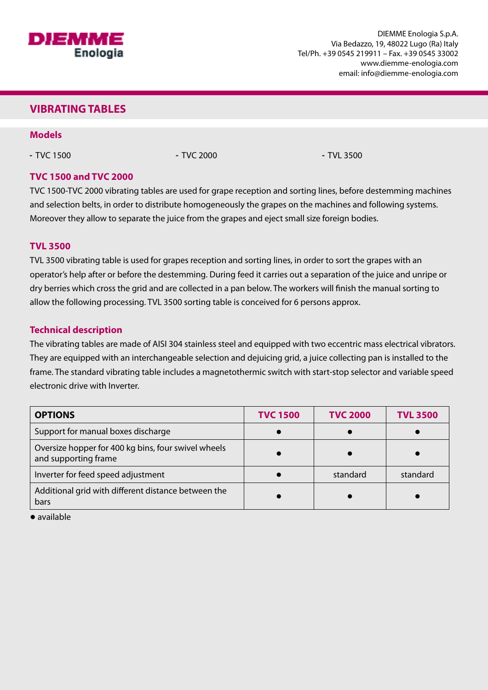

### **VIBRATING TABLES**

#### **Models**

- TVC 1500 - TVC 2000 - TVC 2000 - TVL 3500

#### **TVC 1500 and TVC 2000**

TVC 1500-TVC 2000 vibrating tables are used for grape reception and sorting lines, before destemming machines and selection belts, in order to distribute homogeneously the grapes on the machines and following systems. Moreover they allow to separate the juice from the grapes and eject small size foreign bodies.

#### **TVL 3500**

TVL 3500 vibrating table is used for grapes reception and sorting lines, in order to sort the grapes with an operator's help after or before the destemming. During feed it carries out a separation of the juice and unripe or dry berries which cross the grid and are collected in a pan below. The workers will finish the manual sorting to allow the following processing. TVL 3500 sorting table is conceived for 6 persons approx.

#### **Technical description**

The vibrating tables are made of AISI 304 stainless steel and equipped with two eccentric mass electrical vibrators. They are equipped with an interchangeable selection and dejuicing grid, a juice collecting pan is installed to the frame. The standard vibrating table includes a magnetothermic switch with start-stop selector and variable speed electronic drive with Inverter.

| <b>OPTIONS</b>                                                              | <b>TVC 1500</b> | <b>TVC 2000</b> | <b>TVL 3500</b> |
|-----------------------------------------------------------------------------|-----------------|-----------------|-----------------|
| Support for manual boxes discharge                                          |                 |                 |                 |
| Oversize hopper for 400 kg bins, four swivel wheels<br>and supporting frame |                 |                 |                 |
| Inverter for feed speed adjustment                                          |                 | standard        | standard        |
| Additional grid with different distance between the<br>bars                 |                 |                 |                 |

● available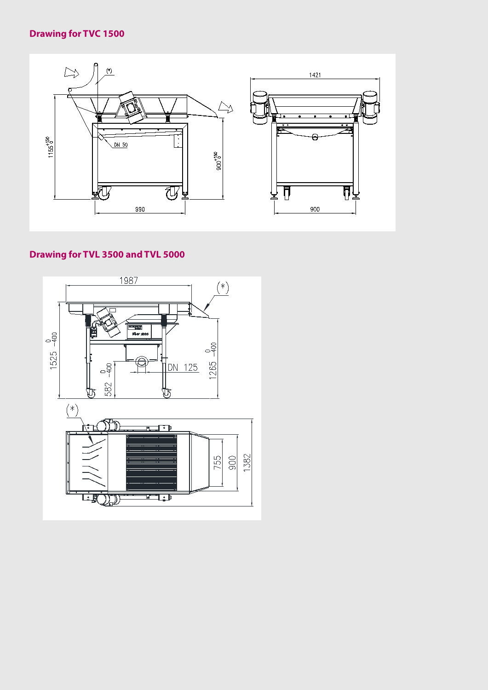## **Drawing for TVC 1500**



## **Drawing for TVL 3500 and TVL 5000**